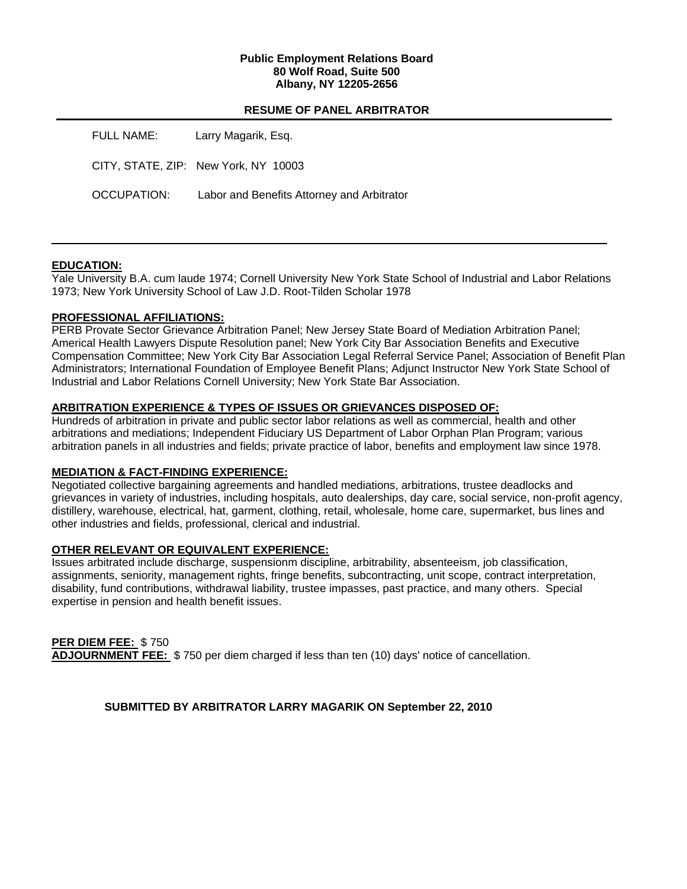### **Public Employment Relations Board 80 Wolf Road, Suite 500 Albany, NY 12205-2656**

## **RESUME OF PANEL ARBITRATOR**

| <b>FULL NAME:</b> | Larry Magarik, Esq.                        |
|-------------------|--------------------------------------------|
|                   | CITY, STATE, ZIP: New York, NY 10003       |
| OCCUPATION:       | Labor and Benefits Attorney and Arbitrator |

## **EDUCATION:**

Yale University B.A. cum laude 1974; Cornell University New York State School of Industrial and Labor Relations 1973; New York University School of Law J.D. Root-Tilden Scholar 1978

## **PROFESSIONAL AFFILIATIONS:**

PERB Provate Sector Grievance Arbitration Panel; New Jersey State Board of Mediation Arbitration Panel; Americal Health Lawyers Dispute Resolution panel; New York City Bar Association Benefits and Executive Compensation Committee; New York City Bar Association Legal Referral Service Panel; Association of Benefit Plan Administrators; International Foundation of Employee Benefit Plans; Adjunct Instructor New York State School of Industrial and Labor Relations Cornell University; New York State Bar Association.

## **ARBITRATION EXPERIENCE & TYPES OF ISSUES OR GRIEVANCES DISPOSED OF:**

Hundreds of arbitration in private and public sector labor relations as well as commercial, health and other arbitrations and mediations; Independent Fiduciary US Department of Labor Orphan Plan Program; various arbitration panels in all industries and fields; private practice of labor, benefits and employment law since 1978.

## **MEDIATION & FACT-FINDING EXPERIENCE:**

Negotiated collective bargaining agreements and handled mediations, arbitrations, trustee deadlocks and grievances in variety of industries, including hospitals, auto dealerships, day care, social service, non-profit agency, distillery, warehouse, electrical, hat, garment, clothing, retail, wholesale, home care, supermarket, bus lines and other industries and fields, professional, clerical and industrial.

## **OTHER RELEVANT OR EQUIVALENT EXPERIENCE:**

Issues arbitrated include discharge, suspensionm discipline, arbitrability, absenteeism, job classification, assignments, seniority, management rights, fringe benefits, subcontracting, unit scope, contract interpretation, disability, fund contributions, withdrawal liability, trustee impasses, past practice, and many others. Special expertise in pension and health benefit issues.

**PER DIEM FEE:** \$ 750 **ADJOURNMENT FEE:** \$ 750 per diem charged if less than ten (10) days' notice of cancellation.

**SUBMITTED BY ARBITRATOR LARRY MAGARIK ON September 22, 2010**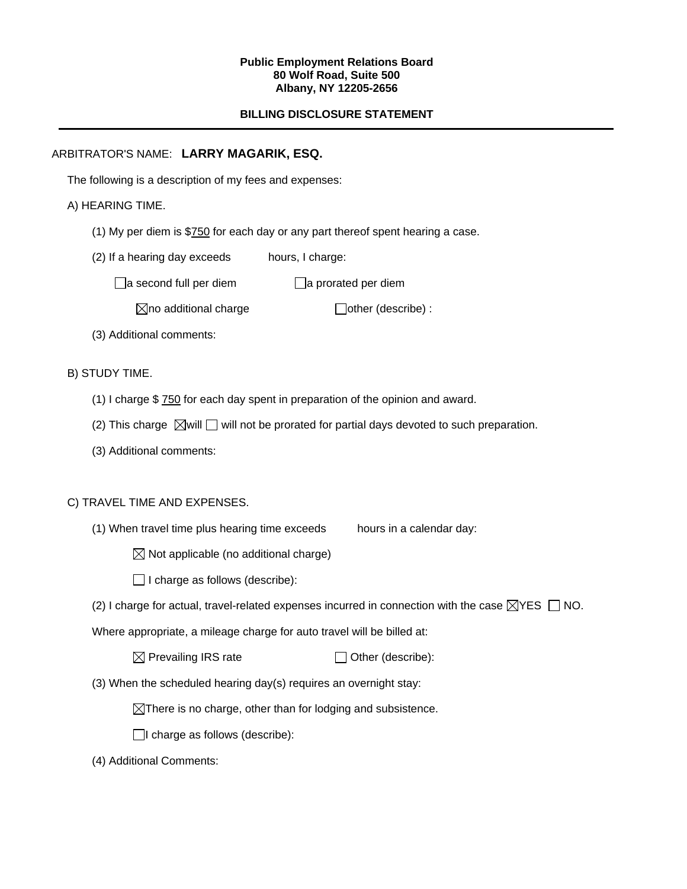#### **Public Employment Relations Board 80 Wolf Road, Suite 500 Albany, NY 12205-2656**

# **BILLING DISCLOSURE STATEMENT**

# ARBITRATOR'S NAME: **LARRY MAGARIK, ESQ.**

The following is a description of my fees and expenses:

# A) HEARING TIME.

- (1) My per diem is \$750 for each day or any part thereof spent hearing a case.
- (2) If a hearing day exceeds hours, I charge:

 $\Box$ a second full per diem  $\Box$ a prorated per diem

 $\boxtimes$ no additional charge  $\Box$ other (describe) :

(3) Additional comments:

B) STUDY TIME.

- (1) I charge \$ 750 for each day spent in preparation of the opinion and award.
- (2) This charge  $\boxtimes$  will  $\Box$  will not be prorated for partial days devoted to such preparation.
- (3) Additional comments:

## C) TRAVEL TIME AND EXPENSES.

(1) When travel time plus hearing time exceeds hours in a calendar day:

 $\boxtimes$  Not applicable (no additional charge)

 $\Box$  I charge as follows (describe):

(2) I charge for actual, travel-related expenses incurred in connection with the case  $\boxtimes$ YES  $\Box$  NO.

Where appropriate, a mileage charge for auto travel will be billed at:

| $\boxtimes$ Prevailing IRS rate | $\Box$ Other (describe): |
|---------------------------------|--------------------------|
|---------------------------------|--------------------------|

(3) When the scheduled hearing day(s) requires an overnight stay:

 $\boxtimes$ There is no charge, other than for lodging and subsistence.

 $\Box$ I charge as follows (describe):

(4) Additional Comments: